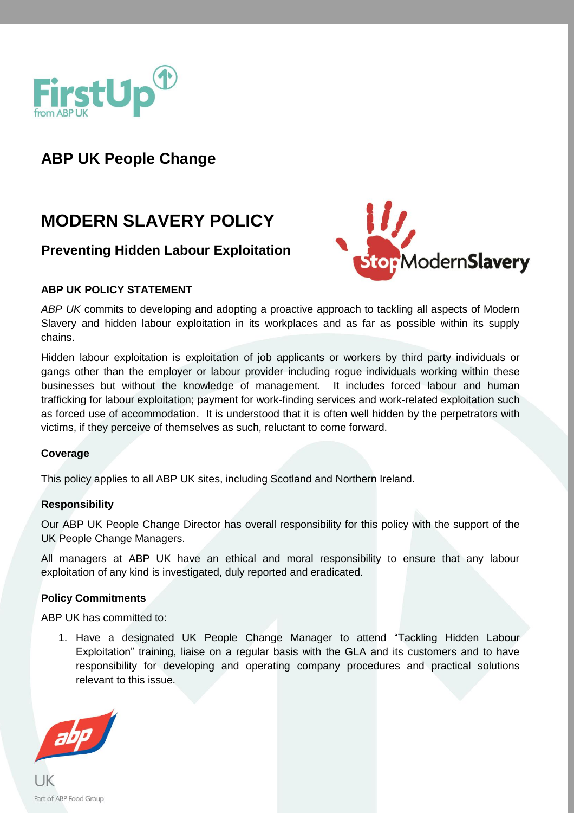

## **ABP UK People Change**

# **MODERN SLAVERY POLICY**

### **Preventing Hidden Labour Exploitation**



#### **ABP UK POLICY STATEMENT**

*ABP UK* commits to developing and adopting a proactive approach to tackling all aspects of Modern Slavery and hidden labour exploitation in its workplaces and as far as possible within its supply chains.

Hidden labour exploitation is exploitation of job applicants or workers by third party individuals or gangs other than the employer or labour provider including rogue individuals working within these businesses but without the knowledge of management. It includes forced labour and human trafficking for labour exploitation; payment for work-finding services and work-related exploitation such as forced use of accommodation. It is understood that it is often well hidden by the perpetrators with victims, if they perceive of themselves as such, reluctant to come forward.

#### **Coverage**

This policy applies to all ABP UK sites, including Scotland and Northern Ireland.

#### **Responsibility**

Our ABP UK People Change Director has overall responsibility for this policy with the support of the UK People Change Managers.

All managers at ABP UK have an ethical and moral responsibility to ensure that any labour exploitation of any kind is investigated, duly reported and eradicated.

#### **Policy Commitments**

ABP UK has committed to:

1. Have a designated UK People Change Manager to attend "Tackling Hidden Labour Exploitation" training, liaise on a regular basis with the GLA and its customers and to have responsibility for developing and operating company procedures and practical solutions relevant to this issue.